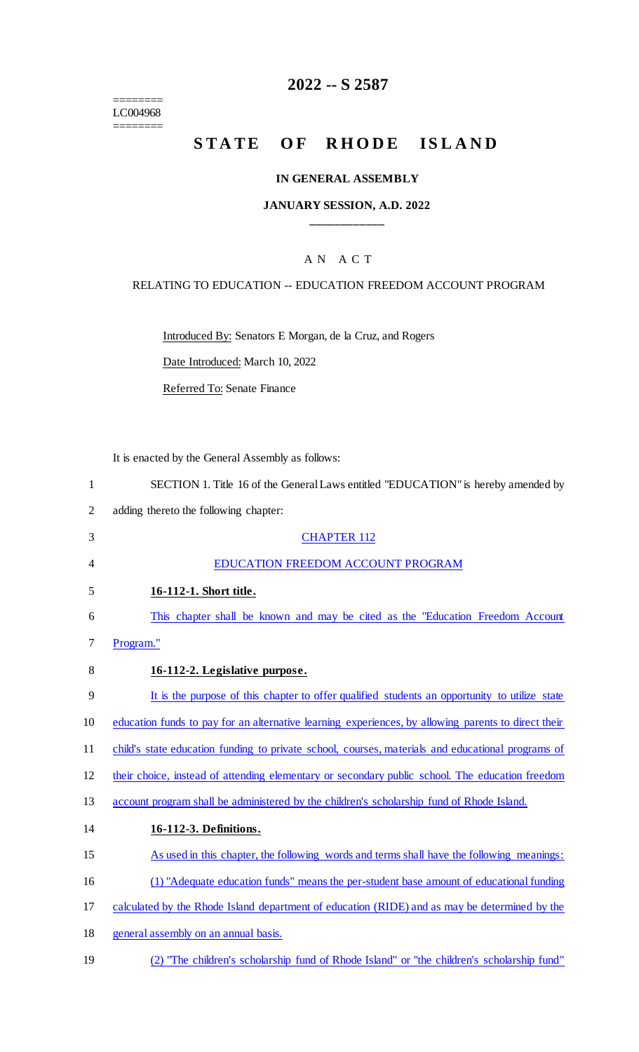======== LC004968

========

# **2022 -- S 2587**

# **STATE OF RHODE ISLAND**

#### **IN GENERAL ASSEMBLY**

#### **JANUARY SESSION, A.D. 2022 \_\_\_\_\_\_\_\_\_\_\_\_**

## A N A C T

#### RELATING TO EDUCATION -- EDUCATION FREEDOM ACCOUNT PROGRAM

Introduced By: Senators E Morgan, de la Cruz, and Rogers

Date Introduced: March 10, 2022

Referred To: Senate Finance

It is enacted by the General Assembly as follows:

3 CHAPTER 112

| SECTION 1. Title 16 of the General Laws entitled "EDUCATION" is hereby amended by |
|-----------------------------------------------------------------------------------|
| adding thereto the following chapter:                                             |

| $\overline{4}$ | EDUCATION FREEDOM ACCOUNT PROGRAM                                                                   |
|----------------|-----------------------------------------------------------------------------------------------------|
| 5              | 16-112-1. Short title.                                                                              |
| 6              | This chapter shall be known and may be cited as the "Education Freedom Account"                     |
| 7              | Program."                                                                                           |
| 8              | 16-112-2. Legislative purpose.                                                                      |
| 9              | It is the purpose of this chapter to offer qualified students an opportunity to utilize state       |
| 10             | education funds to pay for an alternative learning experiences, by allowing parents to direct their |
| 11             | child's state education funding to private school, courses, materials and educational programs of   |
| 12             | their choice, instead of attending elementary or secondary public school. The education freedom     |
| 13             | account program shall be administered by the children's scholarship fund of Rhode Island.           |
| 14             | 16-112-3. Definitions.                                                                              |
| 15             | As used in this chapter, the following words and terms shall have the following meanings:           |
| 16             | (1) "Adequate education funds" means the per-student base amount of educational funding             |
| 17             | calculated by the Rhode Island department of education (RIDE) and as may be determined by the       |
| 18             | general assembly on an annual basis.                                                                |
| 19             | (2) "The children's scholarship fund of Rhode Island" or "the children's scholarship fund"          |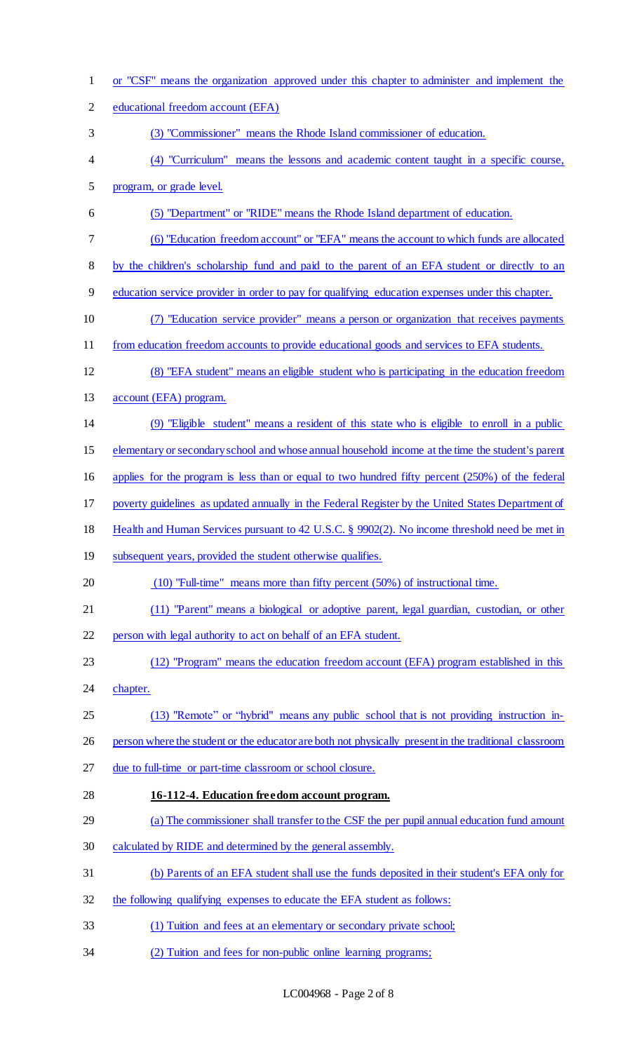or "CSF" means the organization approved under this chapter to administer and implement the educational freedom account (EFA) (3) "Commissioner" means the Rhode Island commissioner of education. (4) "Curriculum" means the lessons and academic content taught in a specific course, program, or grade level. (5) "Department" or "RIDE" means the Rhode Island department of education. (6) "Education freedom account" or "EFA" means the account to which funds are allocated by the children's scholarship fund and paid to the parent of an EFA student or directly to an education service provider in order to pay for qualifying education expenses under this chapter. (7) "Education service provider" means a person or organization that receives payments from education freedom accounts to provide educational goods and services to EFA students. (8) "EFA student" means an eligible student who is participating in the education freedom account (EFA) program. (9) "Eligible student" means a resident of this state who is eligible to enroll in a public elementary or secondary school and whose annual household income at the time the student's parent applies for the program is less than or equal to two hundred fifty percent (250%) of the federal poverty guidelines as updated annually in the Federal Register by the United States Department of Health and Human Services pursuant to 42 U.S.C. § 9902(2). No income threshold need be met in 19 subsequent years, provided the student otherwise qualifies. (10) "Full-time" means more than fifty percent (50%) of instructional time. (11) "Parent" means a biological or adoptive parent, legal guardian, custodian, or other person with legal authority to act on behalf of an EFA student. (12) "Program" means the education freedom account (EFA) program established in this chapter. (13) "Remote" or "hybrid" means any public school that is not providing instruction in-26 person where the student or the educator are both not physically present in the traditional classroom due to full-time or part-time classroom or school closure. **16-112-4. Education freedom account program.**  (a) The commissioner shall transfer to the CSF the per pupil annual education fund amount calculated by RIDE and determined by the general assembly. (b) Parents of an EFA student shall use the funds deposited in their student's EFA only for 32 the following qualifying expenses to educate the EFA student as follows: (1) Tuition and fees at an elementary or secondary private school; (2) Tuition and fees for non-public online learning programs;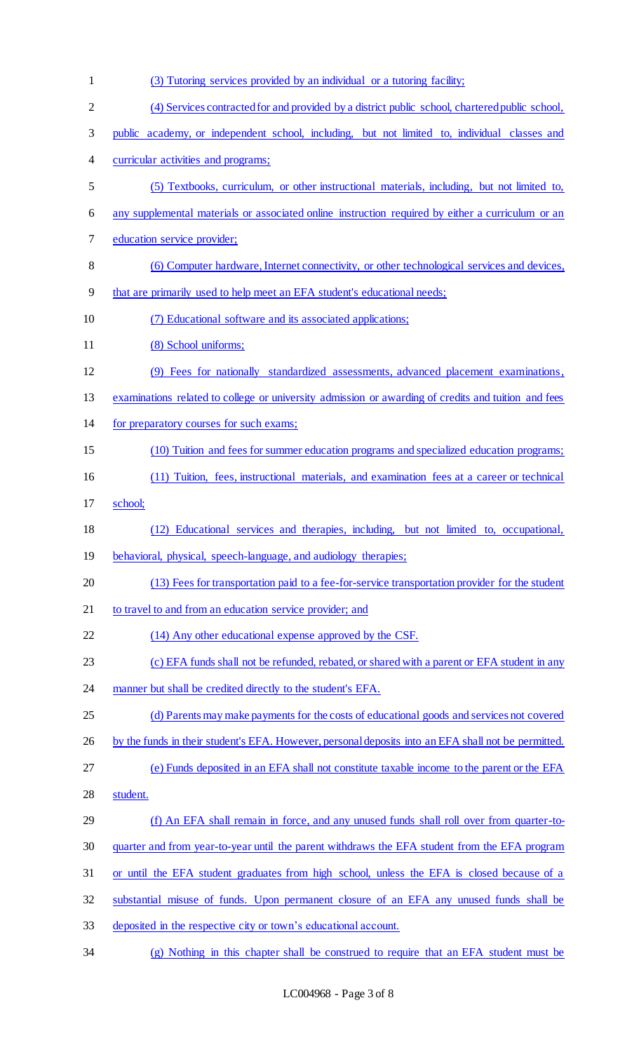| $\mathbf{1}$   | (3) Tutoring services provided by an individual or a tutoring facility;                             |
|----------------|-----------------------------------------------------------------------------------------------------|
| $\overline{2}$ | (4) Services contracted for and provided by a district public school, chartered public school,      |
| 3              | public academy, or independent school, including, but not limited to, individual classes and        |
| 4              | curricular activities and programs;                                                                 |
| 5              | (5) Textbooks, curriculum, or other instructional materials, including, but not limited to,         |
| 6              | any supplemental materials or associated online instruction required by either a curriculum or an   |
| 7              | education service provider;                                                                         |
| 8              | (6) Computer hardware, Internet connectivity, or other technological services and devices,          |
| 9              | that are primarily used to help meet an EFA student's educational needs;                            |
| 10             | (7) Educational software and its associated applications;                                           |
| 11             | (8) School uniforms;                                                                                |
| 12             | (9) Fees for nationally standardized assessments, advanced placement examinations,                  |
| 13             | examinations related to college or university admission or awarding of credits and tuition and fees |
| 14             | for preparatory courses for such exams;                                                             |
| 15             | (10) Tuition and fees for summer education programs and specialized education programs;             |
| 16             | (11) Tuition, fees, instructional materials, and examination fees at a career or technical          |
| 17             | school;                                                                                             |
| 18             | (12) Educational services and therapies, including, but not limited to, occupational,               |
| 19             | behavioral, physical, speech-language, and audiology therapies;                                     |
| 20             | (13) Fees for transportation paid to a fee-for-service transportation provider for the student      |
| 21             | to travel to and from an education service provider; and                                            |
| 22             | (14) Any other educational expense approved by the CSF.                                             |
| 23             | (c) EFA funds shall not be refunded, rebated, or shared with a parent or EFA student in any         |
| 24             | manner but shall be credited directly to the student's EFA.                                         |
| 25             | (d) Parents may make payments for the costs of educational goods and services not covered           |
| 26             | by the funds in their student's EFA. However, personal deposits into an EFA shall not be permitted. |
| 27             | (e) Funds deposited in an EFA shall not constitute taxable income to the parent or the EFA          |
| 28             | student.                                                                                            |
| 29             | (f) An EFA shall remain in force, and any unused funds shall roll over from quarter-to-             |
| 30             | quarter and from year-to-year until the parent withdraws the EFA student from the EFA program       |
| 31             | or until the EFA student graduates from high school, unless the EFA is closed because of a          |
| 32             | substantial misuse of funds. Upon permanent closure of an EFA any unused funds shall be             |
| 33             | deposited in the respective city or town's educational account.                                     |
| 34             | (g) Nothing in this chapter shall be construed to require that an EFA student must be               |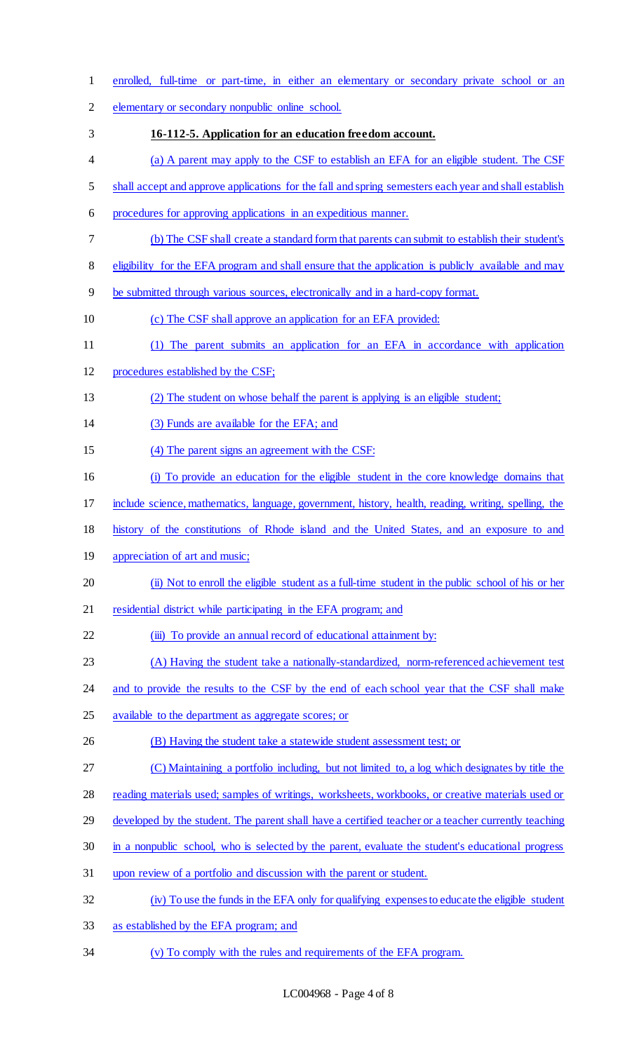enrolled, full-time or part-time, in either an elementary or secondary private school or an elementary or secondary nonpublic online school. **16-112-5. Application for an education freedom account.** (a) A parent may apply to the CSF to establish an EFA for an eligible student. The CSF 5 shall accept and approve applications for the fall and spring semesters each year and shall establish procedures for approving applications in an expeditious manner. (b) The CSF shall create a standard form that parents can submit to establish their student's 8 eligibility for the EFA program and shall ensure that the application is publicly available and may be submitted through various sources, electronically and in a hard-copy format. (c) The CSF shall approve an application for an EFA provided: 11 (1) The parent submits an application for an EFA in accordance with application procedures established by the CSF; (2) The student on whose behalf the parent is applying is an eligible student; (3) Funds are available for the EFA; and (4) The parent signs an agreement with the CSF: (i) To provide an education for the eligible student in the core knowledge domains that include science, mathematics, language, government, history, health, reading, writing, spelling, the history of the constitutions of Rhode island and the United States, and an exposure to and 19 appreciation of art and music; (ii) Not to enroll the eligible student as a full-time student in the public school of his or her 21 residential district while participating in the EFA program; and 22 (iii) To provide an annual record of educational attainment by: (A) Having the student take a nationally-standardized, norm-referenced achievement test 24 and to provide the results to the CSF by the end of each school year that the CSF shall make 25 available to the department as aggregate scores; or 26 (B) Having the student take a statewide student assessment test; or (C) Maintaining a portfolio including, but not limited to, a log which designates by title the 28 reading materials used; samples of writings, worksheets, workbooks, or creative materials used or 29 developed by the student. The parent shall have a certified teacher or a teacher currently teaching 30 in a nonpublic school, who is selected by the parent, evaluate the student's educational progress upon review of a portfolio and discussion with the parent or student. (iv) To use the funds in the EFA only for qualifying expenses to educate the eligible student as established by the EFA program; and (v) To comply with the rules and requirements of the EFA program.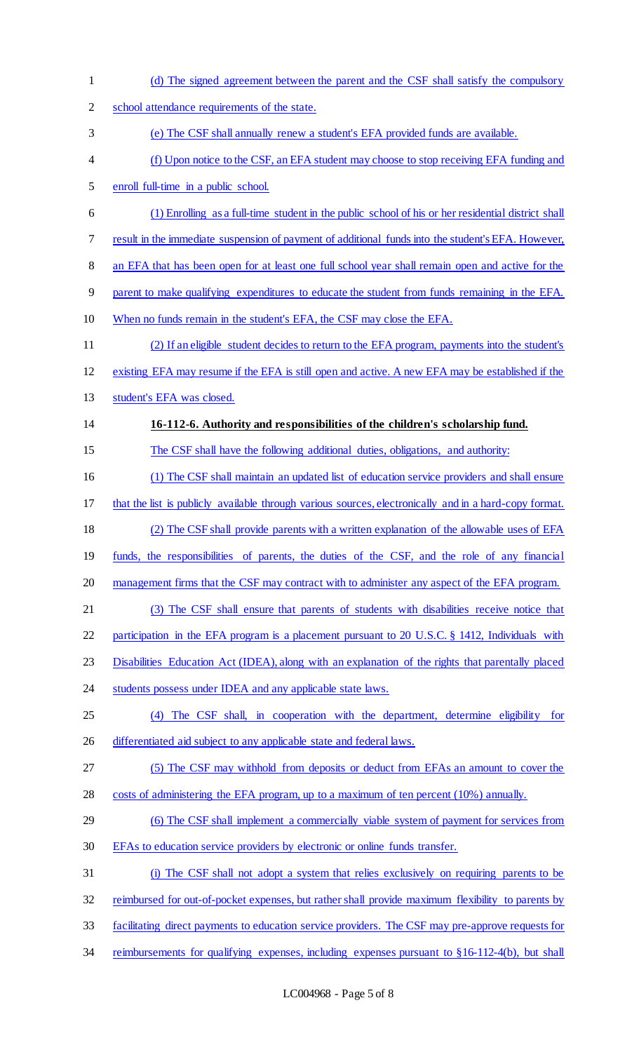(d) The signed agreement between the parent and the CSF shall satisfy the compulsory school attendance requirements of the state. (e) The CSF shall annually renew a student's EFA provided funds are available. (f) Upon notice to the CSF, an EFA student may choose to stop receiving EFA funding and enroll full-time in a public school. (1) Enrolling as a full-time student in the public school of his or her residential district shall result in the immediate suspension of payment of additional funds into the student's EFA. However, 8 an EFA that has been open for at least one full school year shall remain open and active for the parent to make qualifying expenditures to educate the student from funds remaining in the EFA. When no funds remain in the student's EFA, the CSF may close the EFA. (2) If an eligible student decides to return to the EFA program, payments into the student's existing EFA may resume if the EFA is still open and active. A new EFA may be established if the student's EFA was closed. **16-112-6. Authority and responsibilities of the children's scholarship fund.** The CSF shall have the following additional duties, obligations, and authority: (1) The CSF shall maintain an updated list of education service providers and shall ensure that the list is publicly available through various sources, electronically and in a hard-copy format. (2) The CSF shall provide parents with a written explanation of the allowable uses of EFA funds, the responsibilities of parents, the duties of the CSF, and the role of any financial 20 management firms that the CSF may contract with to administer any aspect of the EFA program. (3) The CSF shall ensure that parents of students with disabilities receive notice that participation in the EFA program is a placement pursuant to 20 U.S.C. § 1412, Individuals with Disabilities Education Act (IDEA), along with an explanation of the rights that parentally placed 24 students possess under IDEA and any applicable state laws. (4) The CSF shall, in cooperation with the department, determine eligibility for 26 differentiated aid subject to any applicable state and federal laws. (5) The CSF may withhold from deposits or deduct from EFAs an amount to cover the 28 costs of administering the EFA program, up to a maximum of ten percent (10%) annually. (6) The CSF shall implement a commercially viable system of payment for services from EFAs to education service providers by electronic or online funds transfer. (i) The CSF shall not adopt a system that relies exclusively on requiring parents to be reimbursed for out-of-pocket expenses, but rather shall provide maximum flexibility to parents by facilitating direct payments to education service providers. The CSF may pre-approve requests for 34 reimbursements for qualifying expenses, including expenses pursuant to §16-112-4(b), but shall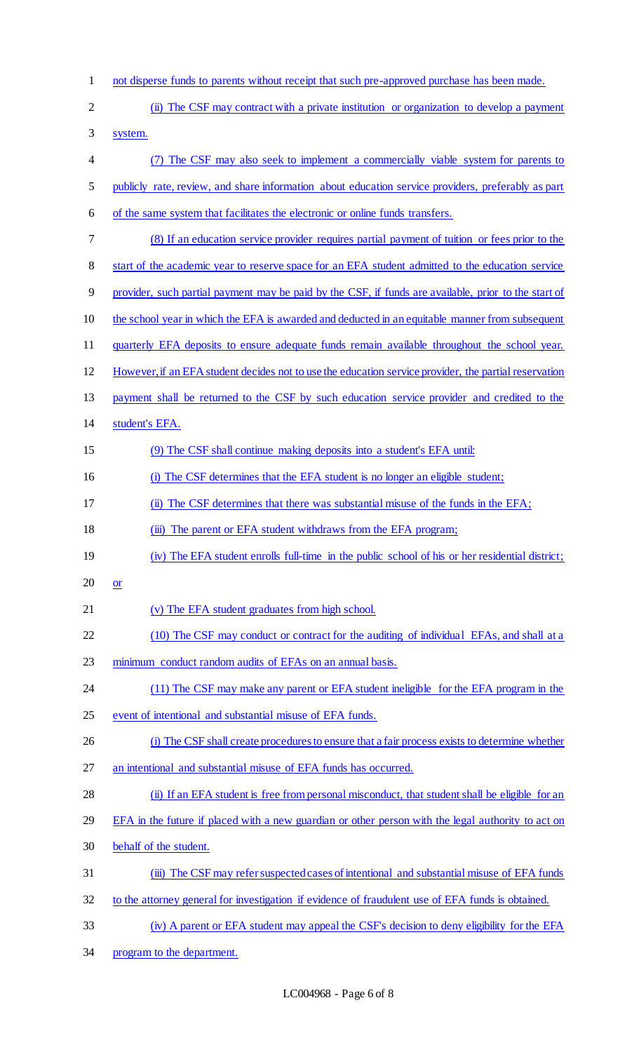- not disperse funds to parents without receipt that such pre-approved purchase has been made.
- (ii) The CSF may contract with a private institution or organization to develop a payment
- system.
- (7) The CSF may also seek to implement a commercially viable system for parents to publicly rate, review, and share information about education service providers, preferably as part
- of the same system that facilitates the electronic or online funds transfers.
- (8) If an education service provider requires partial payment of tuition or fees prior to the
- 8 start of the academic year to reserve space for an EFA student admitted to the education service
- provider, such partial payment may be paid by the CSF, if funds are available, prior to the start of
- the school year in which the EFA is awarded and deducted in an equitable manner from subsequent
- quarterly EFA deposits to ensure adequate funds remain available throughout the school year.
- However, if an EFA student decides not to use the education service provider, the partial reservation
- payment shall be returned to the CSF by such education service provider and credited to the
- student's EFA.
- (9) The CSF shall continue making deposits into a student's EFA until:
- (i) The CSF determines that the EFA student is no longer an eligible student;
- (ii) The CSF determines that there was substantial misuse of the funds in the EFA;
- 18 (iii) The parent or EFA student withdraws from the EFA program;
- (iv) The EFA student enrolls full-time in the public school of his or her residential district;
- $20 \quad or$
- (v) The EFA student graduates from high school.
- 22 (10) The CSF may conduct or contract for the auditing of individual EFAs, and shall at a
- minimum conduct random audits of EFAs on an annual basis.
- 24 (11) The CSF may make any parent or EFA student ineligible for the EFA program in the
- event of intentional and substantial misuse of EFA funds.
- (i) The CSF shall create procedures to ensure that a fair process exists to determine whether
- an intentional and substantial misuse of EFA funds has occurred.
- (ii) If an EFA student is free from personal misconduct, that student shall be eligible for an
- 29 EFA in the future if placed with a new guardian or other person with the legal authority to act on
- behalf of the student.
- (iii) The CSF may refer suspected cases of intentional and substantial misuse of EFA funds
- to the attorney general for investigation if evidence of fraudulent use of EFA funds is obtained.
- (iv) A parent or EFA student may appeal the CSF's decision to deny eligibility for the EFA
- program to the department.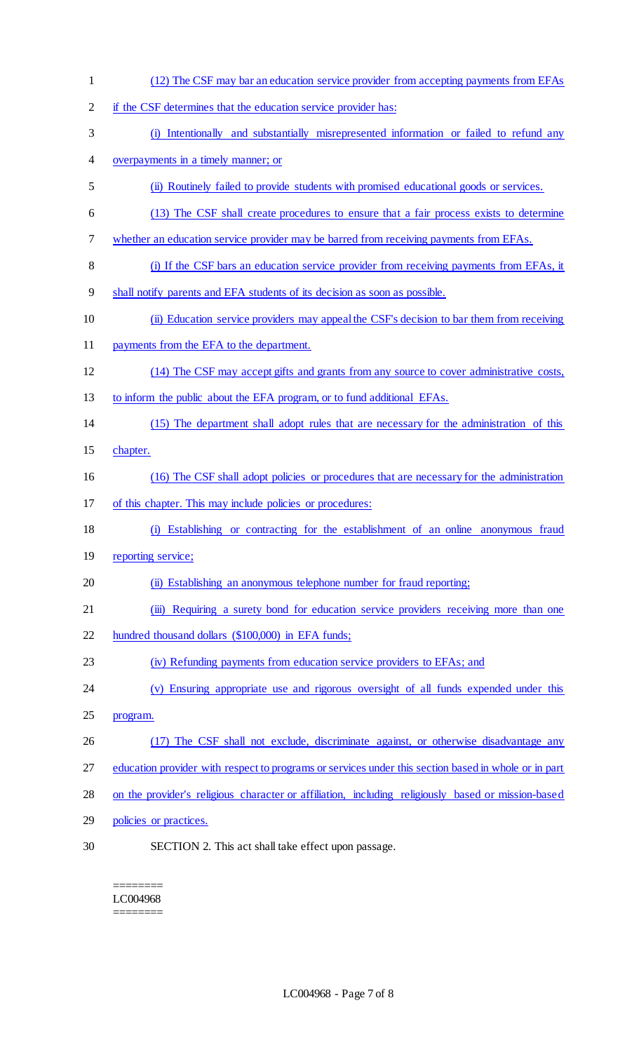- (12) The CSF may bar an education service provider from accepting payments from EFAs if the CSF determines that the education service provider has: (i) Intentionally and substantially misrepresented information or failed to refund any overpayments in a timely manner; or (ii) Routinely failed to provide students with promised educational goods or services. (13) The CSF shall create procedures to ensure that a fair process exists to determine whether an education service provider may be barred from receiving payments from EFAs. (i) If the CSF bars an education service provider from receiving payments from EFAs, it shall notify parents and EFA students of its decision as soon as possible. (ii) Education service providers may appeal the CSF's decision to bar them from receiving payments from the EFA to the department. (14) The CSF may accept gifts and grants from any source to cover administrative costs, 13 to inform the public about the EFA program, or to fund additional EFAs. (15) The department shall adopt rules that are necessary for the administration of this chapter. (16) The CSF shall adopt policies or procedures that are necessary for the administration of this chapter. This may include policies or procedures: (i) Establishing or contracting for the establishment of an online anonymous fraud 19 reporting service; 20 (ii) Establishing an anonymous telephone number for fraud reporting; 21 (iii) Requiring a surety bond for education service providers receiving more than one hundred thousand dollars (\$100,000) in EFA funds; (iv) Refunding payments from education service providers to EFAs; and (v) Ensuring appropriate use and rigorous oversight of all funds expended under this program. 26 (17) The CSF shall not exclude, discriminate against, or otherwise disadvantage any 27 education provider with respect to programs or services under this section based in whole or in part on the provider's religious character or affiliation, including religiously based or mission-based 29 policies or practices. SECTION 2. This act shall take effect upon passage.
	- ======== LC004968